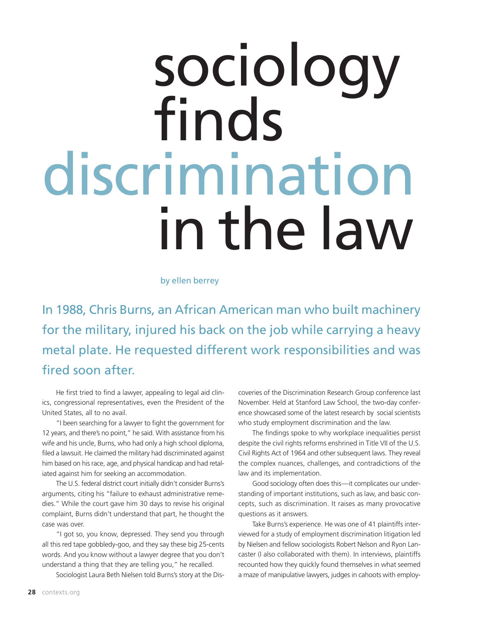# sociology finds discrimination in the law

by ellen berrey

In 1988, Chris Burns, an African American man who built machinery for the military, injured his back on the job while carrying a heavy metal plate. He requested different work responsibilities and was fired soon after

He first tried to find a lawyer, appealing to legal aid clinics, congressional representatives, even the President of the United States, all to no avail.

"I been searching for a lawyer to fight the government for 12 years, and there's no point," he said. With assistance from his wife and his uncle, Burns, who had only a high school diploma, filed a lawsuit. He claimed the military had discriminated against him based on his race, age, and physical handicap and had retaliated against him for seeking an accommodation.

The U.S. federal district court initially didn't consider Burns's arguments, citing his "failure to exhaust administrative remedies." While the court gave him 30 days to revise his original complaint, Burns didn't understand that part, he thought the case was over.

"I got so, you know, depressed. They send you through all this red tape gobbledy-goo, and they say these big 25-cents words. And you know without a lawyer degree that you don't understand a thing that they are telling you," he recalled.

Sociologist Laura Beth Nielsen told Burns's story at the Dis-

coveries of the Discrimination Research Group conference last November. Held at Stanford Law School, the two-day conference showcased some of the latest research by social scientists who study employment discrimination and the law.

The findings spoke to why workplace inequalities persist despite the civil rights reforms enshrined in Title VII of the U.S. Civil Rights Act of 1964 and other subsequent laws. They reveal the complex nuances, challenges, and contradictions of the law and its implementation.

Good sociology often does this—it complicates our understanding of important institutions, such as law, and basic concepts, such as discrimination. It raises as many provocative questions as it answers.

Take Burns's experience. He was one of 41 plaintiffs interviewed for a study of employment discrimination litigation led by Nielsen and fellow sociologists Robert Nelson and Ryon Lancaster (I also collaborated with them). In interviews, plaintiffs recounted how they quickly found themselves in what seemed a maze of manipulative lawyers, judges in cahoots with employ-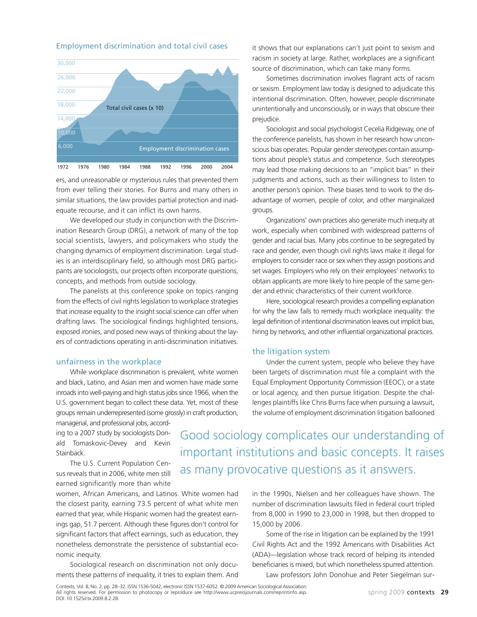



ers, and unreasonable or mysterious rules that prevented them from ever telling their stories. For Burns and many others in similar situations, the law provides partial protection and inadequate recourse, and it can inflict its own harms.

We developed our study in conjunction with the Discrimination Research Group (DRG), a network of many of the top social scientists, lawyers, and policymakers who study the changing dynamics of employment discrimination. Legal studies is an interdisciplinary field, so although most DRG participants are sociologists, our projects often incorporate questions, concepts, and methods from outside sociology.

The panelists at this conference spoke on topics ranging from the effects of civil rights legislation to workplace strategies that increase equality to the insight social science can offer when drafting laws. The sociological findings highlighted tensions, exposed ironies, and posed new ways of thinking about the layers of contradictions operating in anti-discrimination initiatives.

## unfairness in the workplace

While workplace discrimination is prevalent, white women and black, Latino, and Asian men and women have made some inroads into well-paying and high status jobs since 1966, when the U.S. government began to collect these data. Yet, most of these groups remain underrepresented (some grossly) in craft production,

managerial, and professional jobs, according to a 2007 study by sociologists Donald Tomaskovic-Devey and Kevin Stainback.

The U.S. Current Population Census reveals that in 2006, white men still earned significantly more than white

women, African Americans, and Latinos. White women had the closest parity, earning 73.5 percent of what white men earned that year, while Hispanic women had the greatest earnings gap, 51.7 percent. Although these figures don't control for significant factors that affect earnings, such as education, they nonetheless demonstrate the persistence of substantial economic inequity.

Sociological research on discrimination not only documents these patterns of inequality, it tries to explain them. And it shows that our explanations can't just point to sexism and racism in society at large. Rather, workplaces are a significant source of discrimination, which can take many forms.

Sometimes discrimination involves flagrant acts of racism or sexism. Employment law today is designed to adjudicate this intentional discrimination. Often, however, people discriminate unintentionally and unconsciously, or in ways that obscure their prejudice.

Sociologist and social psychologist Cecelia Ridgeway, one of the conference panelists, has shown in her research how unconscious bias operates. Popular gender stereotypes contain assumptions about people's status and competence. Such stereotypes may lead those making decisions to an "implicit bias" in their judgments and actions, such as their willingness to listen to another person's opinion. These biases tend to work to the disadvantage of women, people of color, and other marginalized groups.

Organizations' own practices also generate much inequity at work, especially when combined with widespread patterns of gender and racial bias. Many jobs continue to be segregated by race and gender, even though civil rights laws make it illegal for employers to consider race or sex when they assign positions and set wages. Employers who rely on their employees' networks to obtain applicants are more likely to hire people of the same gender and ethnic characteristics of their current workforce.

Here, sociological research provides a compelling explanation for why the law fails to remedy much workplace inequality: the legal definition of intentional discrimination leaves out implicit bias, hiring by networks, and other influential organizational practices.

# the litigation system

Under the current system, people who believe they have been targets of discrimination must file a complaint with the Equal Employment Opportunity Commission (EEOC), or a state or local agency, and then pursue litigation. Despite the challenges plaintiffs like Chris Burns face when pursuing a lawsuit, the volume of employment discrimination litigation ballooned

Good sociology complicates our understanding of important institutions and basic concepts. It raises as many provocative questions as it answers.

> in the 1990s, Nielsen and her colleagues have shown. The number of discrimination lawsuits filed in federal court tripled from 8,000 in 1990 to 23,000 in 1998, but then dropped to 15,000 by 2006.

> Some of the rise in litigation can be explained by the 1991 Civil Rights Act and the 1992 Americans with Disabilities Act (ADA)—legislation whose track record of helping its intended beneficiaries is mixed, but which nonetheless spurred attention.

Law professors John Donohue and Peter Siegelman sur-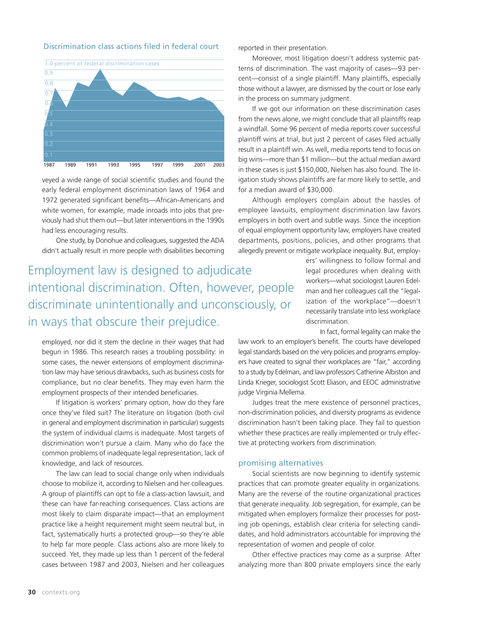# Discrimination class actions filed in federal court



veyed a wide range of social scientific studies and found the early federal employment discrimination laws of 1964 and 1972 generated significant benefits—African-Americans and white women, for example, made inroads into jobs that previously had shut them out—but later interventions in the 1990s had less encouraging results.

One study, by Donohue and colleagues, suggested the ADA didn't actually result in more people with disabilities becoming

# Employment law is designed to adjudicate intentional discrimination. Often, however, people discriminate unintentionally and unconsciously, or in ways that obscure their prejudice.

employed, nor did it stem the decline in their wages that had begun in 1986. This research raises a troubling possibility: in some cases, the newer extensions of employment discrimination law may have serious drawbacks, such as business costs for compliance, but no clear benefits. They may even harm the employment prospects of their intended beneficiaries.

If litigation is workers' primary option, how do they fare once they've filed suit? The literature on litigation (both civil in general and employment discrimination in particular) suggests the system of individual claims is inadequate. Most targets of discrimination won't pursue a claim. Many who do face the common problems of inadequate legal representation, lack of knowledge, and lack of resources.

The law can lead to social change only when individuals choose to mobilize it, according to Nielsen and her colleagues. A group of plaintiffs can opt to file a class-action lawsuit, and these can have far-reaching consequences. Class actions are most likely to claim disparate impact—that an employment practice like a height requirement might seem neutral but, in fact, systematically hurts a protected group—so they're able to help far more people. Class actions also are more likely to succeed. Yet, they made up less than 1 percent of the federal cases between 1987 and 2003, Nielsen and her colleagues reported in their presentation.

Moreover, most litigation doesn't address systemic patterns of discrimination. The vast majority of cases—93 percent—consist of a single plaintiff. Many plaintiffs, especially those without a lawyer, are dismissed by the court or lose early in the process on summary judgment.

If we got our information on these discrimination cases from the news alone, we might conclude that all plaintiffs reap a windfall. Some 96 percent of media reports cover successful plaintiff wins at trial, but just 2 percent of cases filed actually result in a plaintiff win. As well, media reports tend to focus on big wins—more than \$1 million—but the actual median award in these cases is just \$150,000, Nielsen has also found. The litigation study shows plaintiffs are far more likely to settle, and for a median award of \$30,000.

Although employers complain about the hassles of employee lawsuits, employment discrimination law favors employers in both overt and subtle ways. Since the inception of equal employment opportunity law, employers have created departments, positions, policies, and other programs that allegedly prevent or mitigate workplace inequality. But, employ-

> ers' willingness to follow formal and legal procedures when dealing with workers—what sociologist Lauren Edelman and her colleagues call the "legalization of the workplace"—doesn't necessarily translate into less workplace discrimination.

> > In fact, formal legality can make the

law work to an employer's benefit. The courts have developed legal standards based on the very policies and programs employers have created to signal their workplaces are "fair," according to a study by Edelman, and law professors Catherine Albiston and Linda Krieger, sociologist Scott Eliason, and EEOC administrative judge Virginia Mellema.

Judges treat the mere existence of personnel practices, non-discrimination policies, and diversity programs as evidence discrimination hasn't been taking place. They fail to question whether these practices are really implemented or truly effective at protecting workers from discrimination.

# promising alternatives

Social scientists are now beginning to identify systemic practices that can promote greater equality in organizations. Many are the reverse of the routine organizational practices that generate inequality. Job segregation, for example, can be mitigated when employers formalize their processes for posting job openings, establish clear criteria for selecting candidates, and hold administrators accountable for improving the representation of women and people of color.

Other effective practices may come as a surprise. After analyzing more than 800 private employers since the early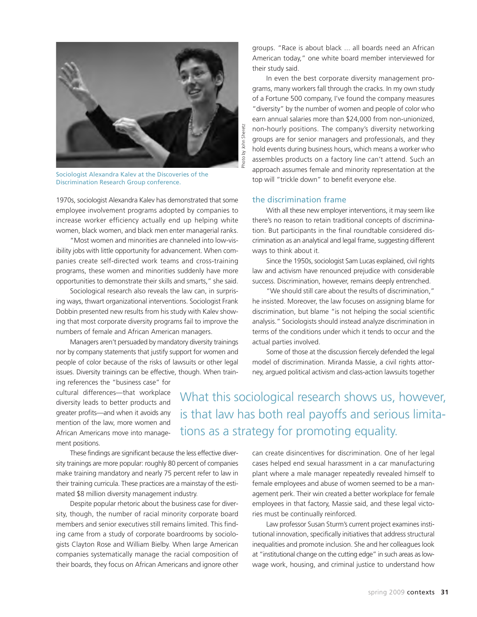

Sociologist Alexandra Kalev at the Discoveries of the Discrimination Research Group conference.

1970s, sociologist Alexandra Kalev has demonstrated that some employee involvement programs adopted by companies to increase worker efficiency actually end up helping white women, black women, and black men enter managerial ranks.

"Most women and minorities are channeled into low-visibility jobs with little opportunity for advancement. When companies create self-directed work teams and cross-training programs, these women and minorities suddenly have more opportunities to demonstrate their skills and smarts," she said.

Sociological research also reveals the law can, in surprising ways, thwart organizational interventions. Sociologist Frank Dobbin presented new results from his study with Kalev showing that most corporate diversity programs fail to improve the numbers of female and African American managers.

Managers aren't persuaded by mandatory diversity trainings nor by company statements that justify support for women and people of color because of the risks of lawsuits or other legal issues. Diversity trainings can be effective, though. When train-

ing references the "business case" for cultural differences—that workplace diversity leads to better products and greater profits—and when it avoids any mention of the law, more women and African Americans move into management positions.

What this sociological research shows us, however, is that law has both real payoffs and serious limitations as a strategy for promoting equality.

These findings are significant because the less effective diversity trainings are more popular: roughly 80 percent of companies make training mandatory and nearly 75 percent refer to law in their training curricula. These practices are a mainstay of the estimated \$8 million diversity management industry.

Despite popular rhetoric about the business case for diversity, though, the number of racial minority corporate board members and senior executives still remains limited. This finding came from a study of corporate boardrooms by sociologists Clayton Rose and William Bielby. When large American companies systematically manage the racial composition of their boards, they focus on African Americans and ignore other groups. "Race is about black ... all boards need an African American today," one white board member interviewed for their study said.

In even the best corporate diversity management programs, many workers fall through the cracks. In my own study of a Fortune 500 company, I've found the company measures "diversity" by the number of women and people of color who earn annual salaries more than \$24,000 from non-unionized, non-hourly positions. The company's diversity networking groups are for senior managers and professionals, and they hold events during business hours, which means a worker who assembles products on a factory line can't attend. Such an approach assumes female and minority representation at the top will "trickle down" to benefit everyone else.

# the discrimination frame

With all these new employer interventions, it may seem like there's no reason to retain traditional concepts of discrimination. But participants in the final roundtable considered discrimination as an analytical and legal frame, suggesting different ways to think about it.

Since the 1950s, sociologist Sam Lucas explained, civil rights law and activism have renounced prejudice with considerable success. Discrimination, however, remains deeply entrenched.

"We should still care about the results of discrimination," he insisted. Moreover, the law focuses on assigning blame for discrimination, but blame "is not helping the social scientific analysis." Sociologists should instead analyze discrimination in terms of the conditions under which it tends to occur and the actual parties involved.

Some of those at the discussion fiercely defended the legal model of discrimination. Miranda Massie, a civil rights attorney, argued political activism and class-action lawsuits together

can create disincentives for discrimination. One of her legal cases helped end sexual harassment in a car manufacturing plant where a male manager repeatedly revealed himself to female employees and abuse of women seemed to be a management perk. Their win created a better workplace for female employees in that factory, Massie said, and these legal victories must be continually reinforced.

Law professor Susan Sturm's current project examines institutional innovation, specifically initiatives that address structural inequalities and promote inclusion. She and her colleagues look at "institutional change on the cutting edge" in such areas as lowwage work, housing, and criminal justice to understand how